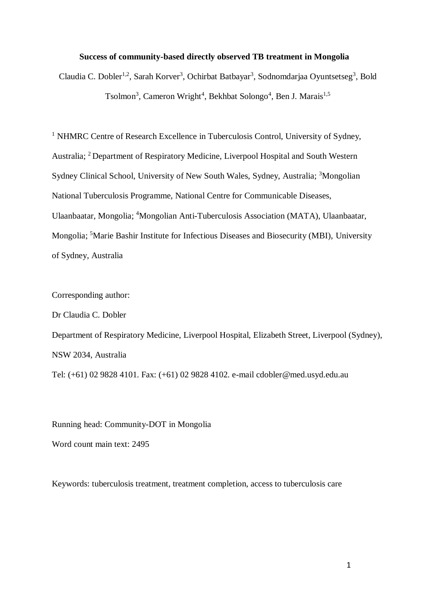# **Success of community-based directly observed TB treatment in Mongolia**

Claudia C. Dobler<sup>1,2</sup>, Sarah Korver<sup>3</sup>, Ochirbat Batbayar<sup>3</sup>, Sodnomdarjaa Oyuntsetseg<sup>3</sup>, Bold Tsolmon<sup>3</sup>, Cameron Wright<sup>4</sup>, Bekhbat Solongo<sup>4</sup>, Ben J. Marais<sup>1,5</sup>

<sup>1</sup> NHMRC Centre of Research Excellence in Tuberculosis Control, University of Sydney, Australia; <sup>2</sup>Department of Respiratory Medicine, Liverpool Hospital and South Western Sydney Clinical School, University of New South Wales, Sydney, Australia; <sup>3</sup>Mongolian National Tuberculosis Programme, National Centre for Communicable Diseases, Ulaanbaatar, Mongolia; <sup>4</sup>Mongolian Anti-Tuberculosis Association (MATA), Ulaanbaatar, Mongolia; <sup>5</sup>Marie Bashir Institute for Infectious Diseases and Biosecurity (MBI), University of Sydney, Australia

Corresponding author:

Dr Claudia C. Dobler Department of Respiratory Medicine, Liverpool Hospital, Elizabeth Street, Liverpool (Sydney), NSW 2034, Australia

Tel: (+61) 02 9828 4101. Fax: (+61) 02 9828 4102. e-mail [cdobler@med.usyd.edu.au](mailto:cdobler@med.usyd.edu.au)

Running head: Community-DOT in Mongolia

Word count main text: 2495

Keywords: tuberculosis treatment, treatment completion, access to tuberculosis care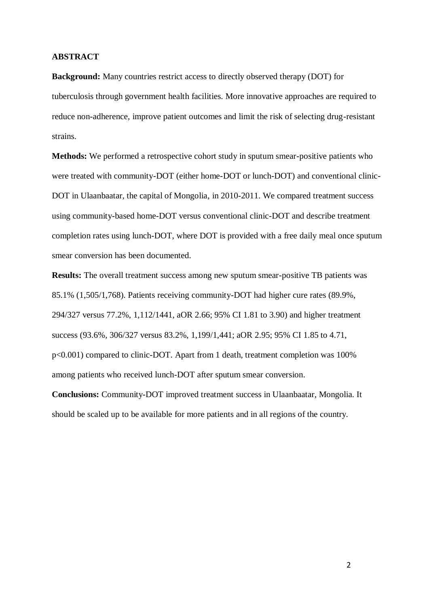## **ABSTRACT**

**Background:** Many countries restrict access to directly observed therapy (DOT) for tuberculosis through government health facilities. More innovative approaches are required to reduce non-adherence, improve patient outcomes and limit the risk of selecting drug-resistant strains.

**Methods:** We performed a retrospective cohort study in sputum smear-positive patients who were treated with community-DOT (either home-DOT or lunch-DOT) and conventional clinic-DOT in Ulaanbaatar, the capital of Mongolia, in 2010-2011. We compared treatment success using community-based home-DOT versus conventional clinic-DOT and describe treatment completion rates using lunch-DOT, where DOT is provided with a free daily meal once sputum smear conversion has been documented.

**Results:** The overall treatment success among new sputum smear-positive TB patients was 85.1% (1,505/1,768). Patients receiving community-DOT had higher cure rates (89.9%, 294/327 versus 77.2%, 1,112/1441, aOR 2.66; 95% CI 1.81 to 3.90) and higher treatment success (93.6%, 306/327 versus 83.2%, 1,199/1,441; aOR 2.95; 95% CI 1.85 to 4.71, p<0.001) compared to clinic-DOT. Apart from 1 death, treatment completion was 100% among patients who received lunch-DOT after sputum smear conversion.

**Conclusions:** Community-DOT improved treatment success in Ulaanbaatar, Mongolia. It should be scaled up to be available for more patients and in all regions of the country.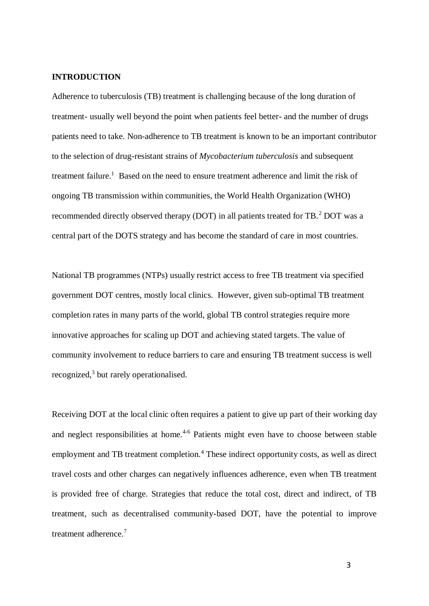# **INTRODUCTION**

Adherence to tuberculosis (TB) treatment is challenging because of the long duration of treatment- usually well beyond the point when patients feel better- and the number of drugs patients need to take. Non-adherence to TB treatment is known to be an important contributor to the selection of drug-resistant strains of *Mycobacterium tuberculosis* and subsequent treatment failure.<sup>1</sup> Based on the need to ensure treatment adherence and limit the risk of ongoing TB transmission within communities, the World Health Organization (WHO) recommended directly observed therapy (DOT) in all patients treated for TB.<sup>2</sup> DOT was a central part of the DOTS strategy and has become the standard of care in most countries.

National TB programmes (NTPs) usually restrict access to free TB treatment via specified government DOT centres, mostly local clinics. However, given sub-optimal TB treatment completion rates in many parts of the world, global TB control strategies require more innovative approaches for scaling up DOT and achieving stated targets. The value of community involvement to reduce barriers to care and ensuring TB treatment success is well recognized,<sup>3</sup> but rarely operationalised.

Receiving DOT at the local clinic often requires a patient to give up part of their working day and neglect responsibilities at home.<sup>4-6</sup> Patients might even have to choose between stable employment and TB treatment completion.<sup>4</sup> These indirect opportunity costs, as well as direct travel costs and other charges can negatively influences adherence, even when TB treatment is provided free of charge. Strategies that reduce the total cost, direct and indirect, of TB treatment, such as decentralised community-based DOT, have the potential to improve treatment adherence.<sup>7</sup>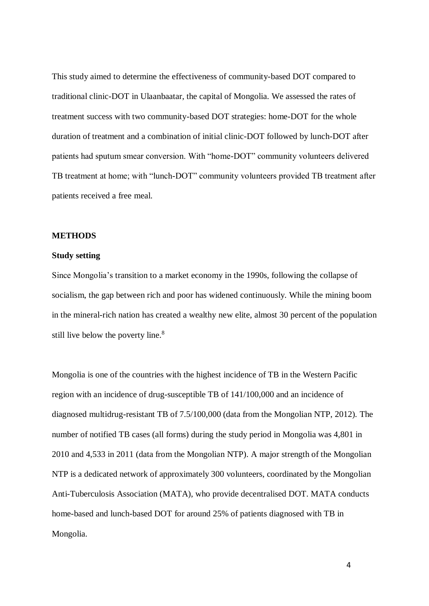This study aimed to determine the effectiveness of community-based DOT compared to traditional clinic-DOT in Ulaanbaatar, the capital of Mongolia. We assessed the rates of treatment success with two community-based DOT strategies: home-DOT for the whole duration of treatment and a combination of initial clinic-DOT followed by lunch-DOT after patients had sputum smear conversion. With "home-DOT" community volunteers delivered TB treatment at home; with "lunch-DOT" community volunteers provided TB treatment after patients received a free meal.

## **METHODS**

# **Study setting**

Since Mongolia's transition to a market economy in the 1990s, following the collapse of socialism, the gap between rich and poor has widened continuously. While the mining boom in the mineral-rich nation has created a wealthy new elite, almost 30 percent of the population still live below the poverty line.<sup>8</sup>

Mongolia is one of the countries with the highest incidence of TB in the Western Pacific region with an incidence of drug-susceptible TB of 141/100,000 and an incidence of diagnosed multidrug-resistant TB of 7.5/100,000 (data from the Mongolian NTP, 2012). The number of notified TB cases (all forms) during the study period in Mongolia was 4,801 in 2010 and 4,533 in 2011 (data from the Mongolian NTP). A major strength of the Mongolian NTP is a dedicated network of approximately 300 volunteers, coordinated by the Mongolian Anti-Tuberculosis Association (MATA), who provide decentralised DOT. MATA conducts home-based and lunch-based DOT for around 25% of patients diagnosed with TB in Mongolia.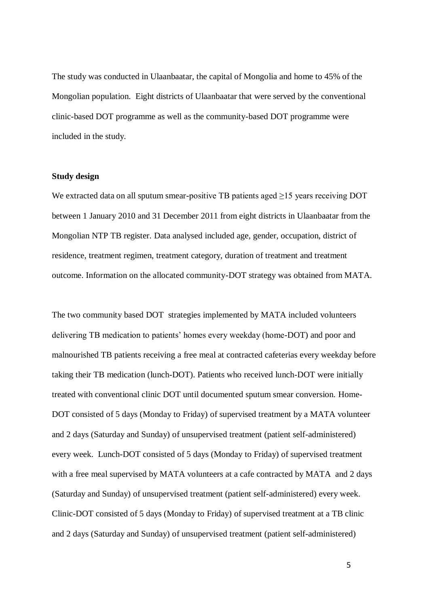The study was conducted in Ulaanbaatar, the capital of Mongolia and home to 45% of the Mongolian population. Eight districts of Ulaanbaatar that were served by the conventional clinic-based DOT programme as well as the community-based DOT programme were included in the study.

# **Study design**

We extracted data on all sputum smear-positive TB patients aged  $\geq$ 15 years receiving DOT between 1 January 2010 and 31 December 2011 from eight districts in Ulaanbaatar from the Mongolian NTP TB register. Data analysed included age, gender, occupation, district of residence, treatment regimen, treatment category, duration of treatment and treatment outcome. Information on the allocated community-DOT strategy was obtained from MATA.

The two community based DOT strategies implemented by MATA included volunteers delivering TB medication to patients' homes every weekday (home-DOT) and poor and malnourished TB patients receiving a free meal at contracted cafeterias every weekday before taking their TB medication (lunch-DOT). Patients who received lunch-DOT were initially treated with conventional clinic DOT until documented sputum smear conversion. Home-DOT consisted of 5 days (Monday to Friday) of supervised treatment by a MATA volunteer and 2 days (Saturday and Sunday) of unsupervised treatment (patient self-administered) every week. Lunch-DOT consisted of 5 days (Monday to Friday) of supervised treatment with a free meal supervised by MATA volunteers at a cafe contracted by MATA and 2 days (Saturday and Sunday) of unsupervised treatment (patient self-administered) every week. Clinic-DOT consisted of 5 days (Monday to Friday) of supervised treatment at a TB clinic and 2 days (Saturday and Sunday) of unsupervised treatment (patient self-administered)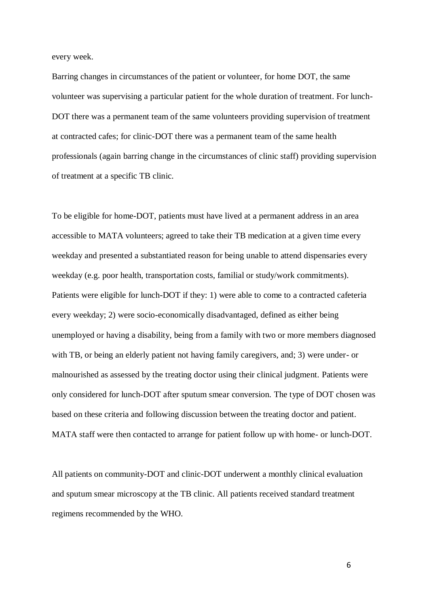every week.

Barring changes in circumstances of the patient or volunteer, for home DOT, the same volunteer was supervising a particular patient for the whole duration of treatment. For lunch-DOT there was a permanent team of the same volunteers providing supervision of treatment at contracted cafes; for clinic-DOT there was a permanent team of the same health professionals (again barring change in the circumstances of clinic staff) providing supervision of treatment at a specific TB clinic.

To be eligible for home-DOT, patients must have lived at a permanent address in an area accessible to MATA volunteers; agreed to take their TB medication at a given time every weekday and presented a substantiated reason for being unable to attend dispensaries every weekday (e.g. poor health, transportation costs, familial or study/work commitments). Patients were eligible for lunch-DOT if they: 1) were able to come to a contracted cafeteria every weekday; 2) were socio-economically disadvantaged, defined as either being unemployed or having a disability, being from a family with two or more members diagnosed with TB, or being an elderly patient not having family caregivers, and; 3) were under- or malnourished as assessed by the treating doctor using their clinical judgment. Patients were only considered for lunch-DOT after sputum smear conversion. The type of DOT chosen was based on these criteria and following discussion between the treating doctor and patient. MATA staff were then contacted to arrange for patient follow up with home- or lunch-DOT.

All patients on community-DOT and clinic-DOT underwent a monthly clinical evaluation and sputum smear microscopy at the TB clinic. All patients received standard treatment regimens recommended by the WHO.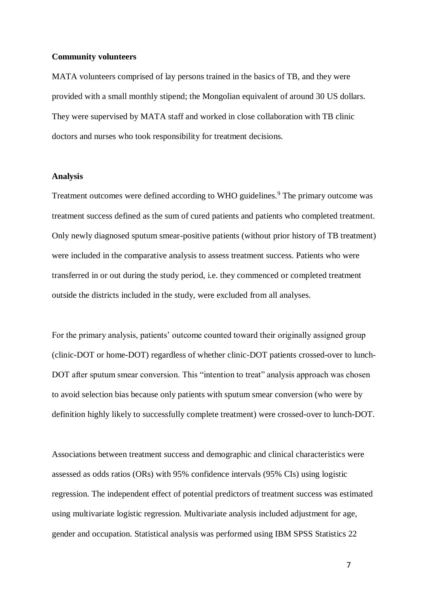#### **Community volunteers**

MATA volunteers comprised of lay persons trained in the basics of TB, and they were provided with a small monthly stipend; the Mongolian equivalent of around 30 US dollars. They were supervised by MATA staff and worked in close collaboration with TB clinic doctors and nurses who took responsibility for treatment decisions.

# **Analysis**

Treatment outcomes were defined according to WHO guidelines.<sup>9</sup> The primary outcome was treatment success defined as the sum of cured patients and patients who completed treatment. Only newly diagnosed sputum smear-positive patients (without prior history of TB treatment) were included in the comparative analysis to assess treatment success. Patients who were transferred in or out during the study period, i.e. they commenced or completed treatment outside the districts included in the study, were excluded from all analyses.

For the primary analysis, patients' outcome counted toward their originally assigned group (clinic-DOT or home-DOT) regardless of whether clinic-DOT patients crossed-over to lunch-DOT after sputum smear conversion. This "intention to treat" analysis approach was chosen to avoid selection bias because only patients with sputum smear conversion (who were by definition highly likely to successfully complete treatment) were crossed-over to lunch-DOT.

Associations between treatment success and demographic and clinical characteristics were assessed as odds ratios (ORs) with 95% confidence intervals (95% CIs) using logistic regression. The independent effect of potential predictors of treatment success was estimated using multivariate logistic regression. Multivariate analysis included adjustment for age, gender and occupation. Statistical analysis was performed using IBM SPSS Statistics 22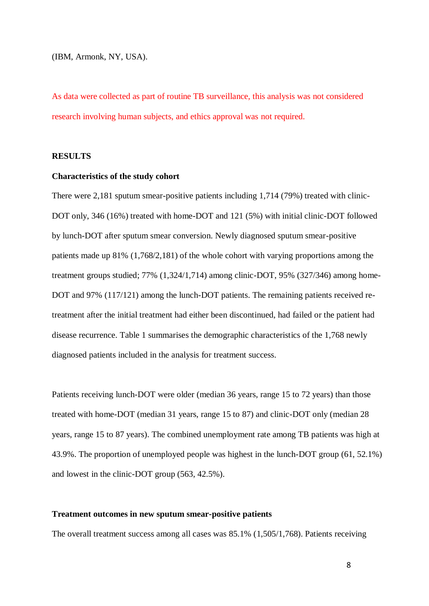(IBM, Armonk, NY, USA).

As data were collected as part of routine TB surveillance, this analysis was not considered research involving human subjects, and ethics approval was not required.

# **RESULTS**

## **Characteristics of the study cohort**

There were 2,181 sputum smear-positive patients including 1,714 (79%) treated with clinic-DOT only, 346 (16%) treated with home-DOT and 121 (5%) with initial clinic-DOT followed by lunch-DOT after sputum smear conversion. Newly diagnosed sputum smear-positive patients made up 81% (1,768/2,181) of the whole cohort with varying proportions among the treatment groups studied; 77% (1,324/1,714) among clinic-DOT, 95% (327/346) among home-DOT and 97% (117/121) among the lunch-DOT patients. The remaining patients received retreatment after the initial treatment had either been discontinued, had failed or the patient had disease recurrence. Table 1 summarises the demographic characteristics of the 1,768 newly diagnosed patients included in the analysis for treatment success.

Patients receiving lunch-DOT were older (median 36 years, range 15 to 72 years) than those treated with home-DOT (median 31 years, range 15 to 87) and clinic-DOT only (median 28 years, range 15 to 87 years). The combined unemployment rate among TB patients was high at 43.9%. The proportion of unemployed people was highest in the lunch-DOT group (61, 52.1%) and lowest in the clinic-DOT group (563, 42.5%).

## **Treatment outcomes in new sputum smear-positive patients**

The overall treatment success among all cases was 85.1% (1,505/1,768). Patients receiving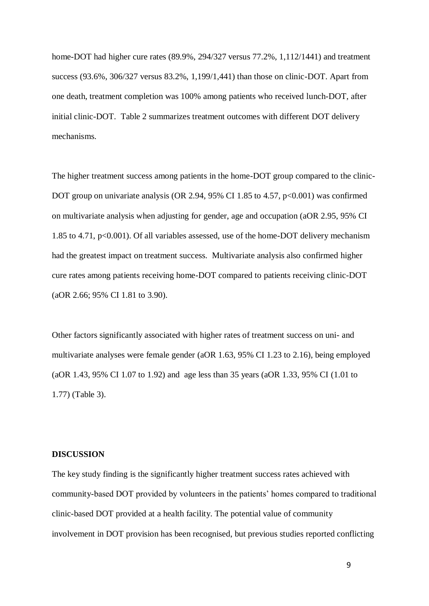home-DOT had higher cure rates (89.9%, 294/327 versus 77.2%, 1,112/1441) and treatment success (93.6%, 306/327 versus 83.2%, 1,199/1,441) than those on clinic-DOT. Apart from one death, treatment completion was 100% among patients who received lunch-DOT, after initial clinic-DOT. Table 2 summarizes treatment outcomes with different DOT delivery mechanisms.

The higher treatment success among patients in the home-DOT group compared to the clinic-DOT group on univariate analysis (OR 2.94, 95% CI 1.85 to 4.57,  $p<0.001$ ) was confirmed on multivariate analysis when adjusting for gender, age and occupation (aOR 2.95, 95% CI 1.85 to 4.71, p<0.001). Of all variables assessed, use of the home-DOT delivery mechanism had the greatest impact on treatment success. Multivariate analysis also confirmed higher cure rates among patients receiving home-DOT compared to patients receiving clinic-DOT (aOR 2.66; 95% CI 1.81 to 3.90).

Other factors significantly associated with higher rates of treatment success on uni- and multivariate analyses were female gender (aOR 1.63, 95% CI 1.23 to 2.16), being employed (aOR 1.43, 95% CI 1.07 to 1.92) and age less than 35 years (aOR 1.33, 95% CI (1.01 to 1.77) (Table 3).

# **DISCUSSION**

The key study finding is the significantly higher treatment success rates achieved with community-based DOT provided by volunteers in the patients' homes compared to traditional clinic-based DOT provided at a health facility. The potential value of community involvement in DOT provision has been recognised, but previous studies reported conflicting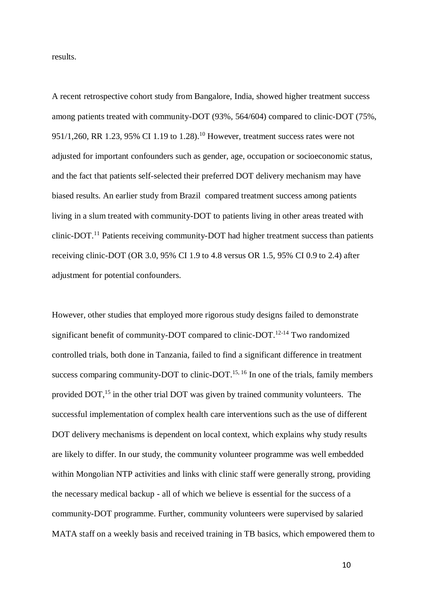results.

A recent retrospective cohort study from Bangalore, India, showed higher treatment success among patients treated with community-DOT (93%, 564/604) compared to clinic-DOT (75%, 951/1,260, RR 1.23, 95% CI 1.19 to 1.28).<sup>10</sup> However, treatment success rates were not adjusted for important confounders such as gender, age, occupation or socioeconomic status, and the fact that patients self-selected their preferred DOT delivery mechanism may have biased results. An earlier study from Brazil compared treatment success among patients living in a slum treated with community-DOT to patients living in other areas treated with clinic-DOT.<sup>11</sup> Patients receiving community-DOT had higher treatment success than patients receiving clinic-DOT (OR 3.0, 95% CI 1.9 to 4.8 versus OR 1.5, 95% CI 0.9 to 2.4) after adjustment for potential confounders.

However, other studies that employed more rigorous study designs failed to demonstrate significant benefit of community-DOT compared to clinic-DOT.<sup>12-14</sup> Two randomized controlled trials, both done in Tanzania, failed to find a significant difference in treatment success comparing community-DOT to clinic-DOT.<sup>15, 16</sup> In one of the trials, family members provided DOT,<sup>15</sup> in the other trial DOT was given by trained community volunteers. The successful implementation of complex health care interventions such as the use of different DOT delivery mechanisms is dependent on local context, which explains why study results are likely to differ. In our study, the community volunteer programme was well embedded within Mongolian NTP activities and links with clinic staff were generally strong, providing the necessary medical backup - all of which we believe is essential for the success of a community-DOT programme. Further, community volunteers were supervised by salaried MATA staff on a weekly basis and received training in TB basics, which empowered them to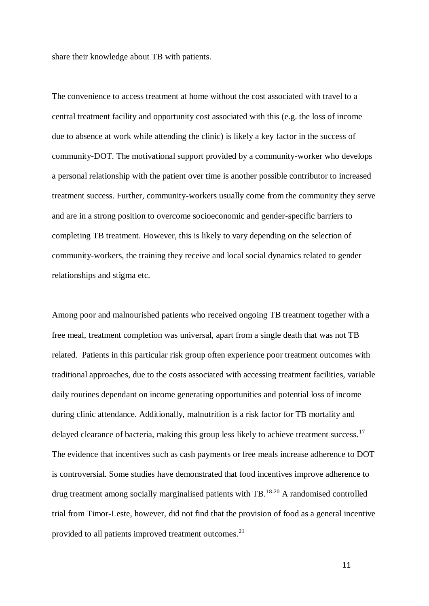share their knowledge about TB with patients.

The convenience to access treatment at home without the cost associated with travel to a central treatment facility and opportunity cost associated with this (e.g. the loss of income due to absence at work while attending the clinic) is likely a key factor in the success of community-DOT. The motivational support provided by a community-worker who develops a personal relationship with the patient over time is another possible contributor to increased treatment success. Further, community-workers usually come from the community they serve and are in a strong position to overcome socioeconomic and gender-specific barriers to completing TB treatment. However, this is likely to vary depending on the selection of community-workers, the training they receive and local social dynamics related to gender relationships and stigma etc.

Among poor and malnourished patients who received ongoing TB treatment together with a free meal, treatment completion was universal, apart from a single death that was not TB related. Patients in this particular risk group often experience poor treatment outcomes with traditional approaches, due to the costs associated with accessing treatment facilities, variable daily routines dependant on income generating opportunities and potential loss of income during clinic attendance. Additionally, malnutrition is a risk factor for TB mortality and delayed clearance of bacteria, making this group less likely to achieve treatment success.<sup>17</sup> The evidence that incentives such as cash payments or free meals increase adherence to DOT is controversial. Some studies have demonstrated that food incentives improve adherence to drug treatment among socially marginalised patients with TB.<sup>18-20</sup> A randomised controlled trial from Timor-Leste, however, did not find that the provision of food as a general incentive provided to all patients improved treatment outcomes. $2<sup>1</sup>$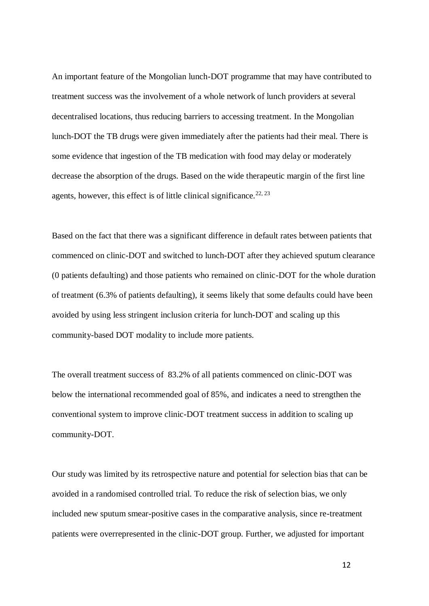An important feature of the Mongolian lunch-DOT programme that may have contributed to treatment success was the involvement of a whole network of lunch providers at several decentralised locations, thus reducing barriers to accessing treatment. In the Mongolian lunch-DOT the TB drugs were given immediately after the patients had their meal. There is some evidence that ingestion of the TB medication with food may delay or moderately decrease the absorption of the drugs. Based on the wide therapeutic margin of the first line agents, however, this effect is of little clinical significance.<sup>22, 23</sup>

Based on the fact that there was a significant difference in default rates between patients that commenced on clinic-DOT and switched to lunch-DOT after they achieved sputum clearance (0 patients defaulting) and those patients who remained on clinic-DOT for the whole duration of treatment (6.3% of patients defaulting), it seems likely that some defaults could have been avoided by using less stringent inclusion criteria for lunch-DOT and scaling up this community-based DOT modality to include more patients.

The overall treatment success of 83.2% of all patients commenced on clinic-DOT was below the international recommended goal of 85%, and indicates a need to strengthen the conventional system to improve clinic-DOT treatment success in addition to scaling up community-DOT.

Our study was limited by its retrospective nature and potential for selection bias that can be avoided in a randomised controlled trial. To reduce the risk of selection bias, we only included new sputum smear-positive cases in the comparative analysis, since re-treatment patients were overrepresented in the clinic-DOT group. Further, we adjusted for important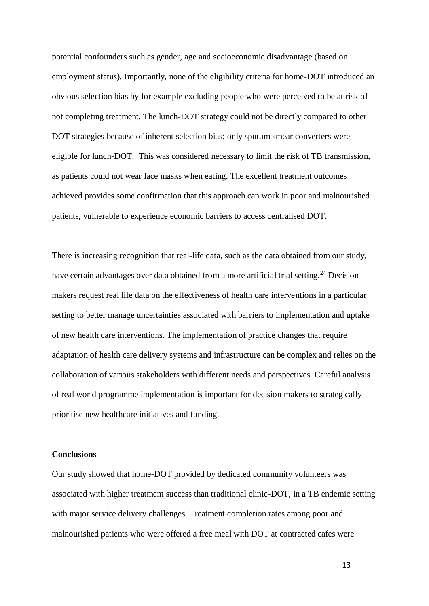potential confounders such as gender, age and socioeconomic disadvantage (based on employment status). Importantly, none of the eligibility criteria for home-DOT introduced an obvious selection bias by for example excluding people who were perceived to be at risk of not completing treatment. The lunch-DOT strategy could not be directly compared to other DOT strategies because of inherent selection bias; only sputum smear converters were eligible for lunch-DOT. This was considered necessary to limit the risk of TB transmission, as patients could not wear face masks when eating. The excellent treatment outcomes achieved provides some confirmation that this approach can work in poor and malnourished patients, vulnerable to experience economic barriers to access centralised DOT.

There is increasing recognition that real-life data, such as the data obtained from our study, have certain advantages over data obtained from a more artificial trial setting.<sup>24</sup> Decision makers request real life data on the effectiveness of health care interventions in a particular setting to better manage uncertainties associated with barriers to implementation and uptake of new health care interventions. The implementation of practice changes that require adaptation of health care delivery systems and infrastructure can be complex and relies on the collaboration of various stakeholders with different needs and perspectives. Careful analysis of real world programme implementation is important for decision makers to strategically prioritise new healthcare initiatives and funding.

# **Conclusions**

Our study showed that home-DOT provided by dedicated community volunteers was associated with higher treatment success than traditional clinic-DOT, in a TB endemic setting with major service delivery challenges. Treatment completion rates among poor and malnourished patients who were offered a free meal with DOT at contracted cafes were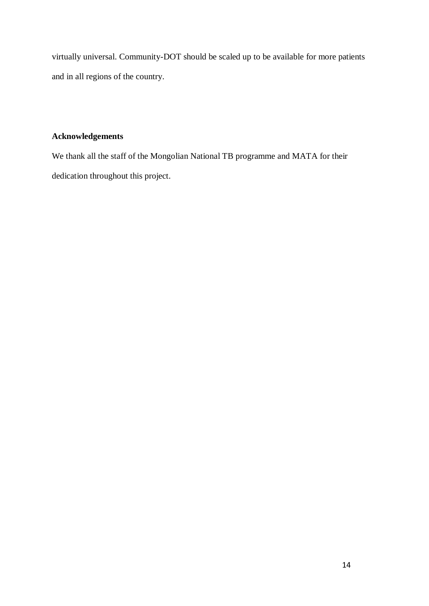virtually universal. Community-DOT should be scaled up to be available for more patients and in all regions of the country.

# **Acknowledgements**

We thank all the staff of the Mongolian National TB programme and MATA for their dedication throughout this project.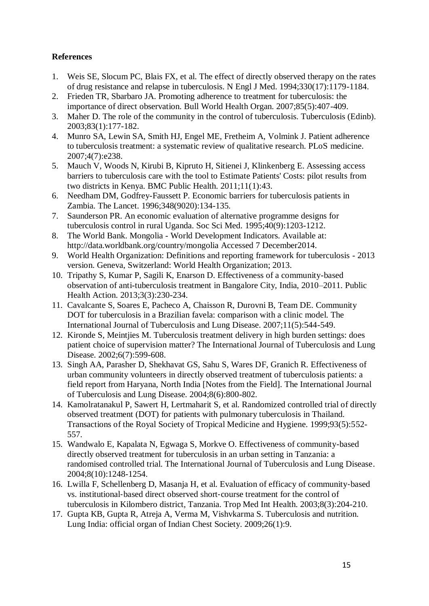# **References**

- 1. Weis SE, Slocum PC, Blais FX, et al. The effect of directly observed therapy on the rates of drug resistance and relapse in tuberculosis. N Engl J Med. 1994;330(17):1179-1184.
- 2. Frieden TR, Sbarbaro JA. Promoting adherence to treatment for tuberculosis: the importance of direct observation. Bull World Health Organ. 2007;85(5):407-409.
- 3. Maher D. The role of the community in the control of tuberculosis. Tuberculosis (Edinb). 2003;83(1):177-182.
- 4. Munro SA, Lewin SA, Smith HJ, Engel ME, Fretheim A, Volmink J. Patient adherence to tuberculosis treatment: a systematic review of qualitative research. PLoS medicine. 2007;4(7):e238.
- 5. Mauch V, Woods N, Kirubi B, Kipruto H, Sitienei J, Klinkenberg E. Assessing access barriers to tuberculosis care with the tool to Estimate Patients' Costs: pilot results from two districts in Kenya. BMC Public Health. 2011;11(1):43.
- 6. Needham DM, Godfrey-Faussett P. Economic barriers for tuberculosis patients in Zambia. The Lancet. 1996;348(9020):134-135.
- 7. Saunderson PR. An economic evaluation of alternative programme designs for tuberculosis control in rural Uganda. Soc Sci Med. 1995;40(9):1203-1212.
- 8. The World Bank. Mongolia World Development Indicators. Available at: http://data.worldbank.org/country/mongolia Accessed 7 December2014.
- 9. World Health Organization: Definitions and reporting framework for tuberculosis 2013 version. Geneva, Switzerland: World Health Organization; 2013.
- 10. Tripathy S, Kumar P, Sagili K, Enarson D. Effectiveness of a community-based observation of anti-tuberculosis treatment in Bangalore City, India, 2010–2011. Public Health Action. 2013;3(3):230-234.
- 11. Cavalcante S, Soares E, Pacheco A, Chaisson R, Durovni B, Team DE. Community DOT for tuberculosis in a Brazilian favela: comparison with a clinic model. The International Journal of Tuberculosis and Lung Disease. 2007;11(5):544-549.
- 12. Kironde S, Meintjies M. Tuberculosis treatment delivery in high burden settings: does patient choice of supervision matter? The International Journal of Tuberculosis and Lung Disease. 2002;6(7):599-608.
- 13. Singh AA, Parasher D, Shekhavat GS, Sahu S, Wares DF, Granich R. Effectiveness of urban community volunteers in directly observed treatment of tuberculosis patients: a field report from Haryana, North India [Notes from the Field]. The International Journal of Tuberculosis and Lung Disease. 2004;8(6):800-802.
- 14. Kamolratanakul P, Sawert H, Lertmaharit S, et al. Randomized controlled trial of directly observed treatment (DOT) for patients with pulmonary tuberculosis in Thailand. Transactions of the Royal Society of Tropical Medicine and Hygiene. 1999;93(5):552- 557.
- 15. Wandwalo E, Kapalata N, Egwaga S, Morkve O. Effectiveness of community-based directly observed treatment for tuberculosis in an urban setting in Tanzania: a randomised controlled trial. The International Journal of Tuberculosis and Lung Disease. 2004;8(10):1248-1254.
- 16. Lwilla F, Schellenberg D, Masanja H, et al. Evaluation of efficacy of community‐based vs. institutional‐based direct observed short‐course treatment for the control of tuberculosis in Kilombero district, Tanzania. Trop Med Int Health. 2003;8(3):204-210.
- 17. Gupta KB, Gupta R, Atreja A, Verma M, Vishvkarma S. Tuberculosis and nutrition. Lung India: official organ of Indian Chest Society. 2009;26(1):9.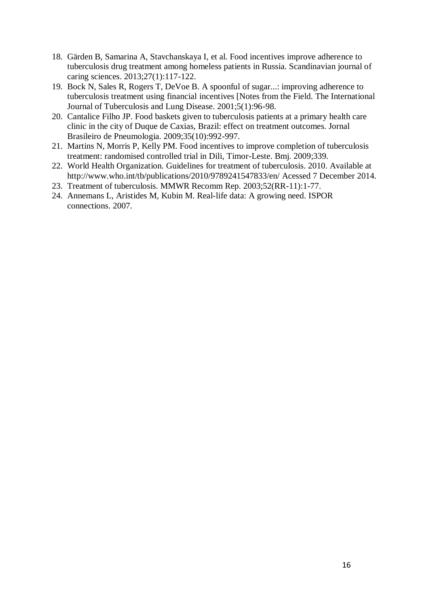- 18. Gärden B, Samarina A, Stavchanskaya I, et al. Food incentives improve adherence to tuberculosis drug treatment among homeless patients in Russia. Scandinavian journal of caring sciences. 2013;27(1):117-122.
- 19. Bock N, Sales R, Rogers T, DeVoe B. A spoonful of sugar...: improving adherence to tuberculosis treatment using financial incentives [Notes from the Field. The International Journal of Tuberculosis and Lung Disease. 2001;5(1):96-98.
- 20. Cantalice Filho JP. Food baskets given to tuberculosis patients at a primary health care clinic in the city of Duque de Caxias, Brazil: effect on treatment outcomes. Jornal Brasileiro de Pneumologia. 2009;35(10):992-997.
- 21. Martins N, Morris P, Kelly PM. Food incentives to improve completion of tuberculosis treatment: randomised controlled trial in Dili, Timor-Leste. Bmj. 2009;339.
- 22. World Health Organization. Guidelines for treatment of tuberculosis. 2010. Available at http://www.who.int/tb/publications/2010/9789241547833/en/ Acessed 7 December 2014.
- 23. Treatment of tuberculosis. MMWR Recomm Rep. 2003;52(RR-11):1-77.
- 24. Annemans L, Aristides M, Kubin M. Real-life data: A growing need. ISPOR connections. 2007.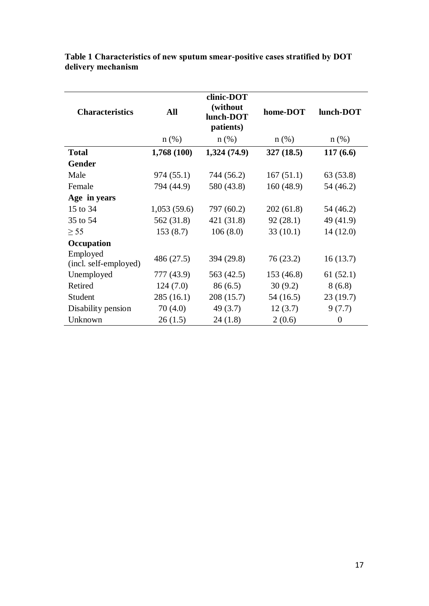|                                   |             | clinic-DOT            |            |                |  |
|-----------------------------------|-------------|-----------------------|------------|----------------|--|
| <b>Characteristics</b>            | All         | (without<br>lunch-DOT | home-DOT   | lunch-DOT      |  |
|                                   |             | patients)             |            |                |  |
|                                   | $n$ (%)     | $n$ (%)               | $n$ (%)    | $n$ (%)        |  |
| <b>Total</b>                      | 1,768 (100) | 1,324(74.9)           | 327(18.5)  | 117(6.6)       |  |
| <b>Gender</b>                     |             |                       |            |                |  |
| Male                              | 974(55.1)   | 744 (56.2)            | 167(51.1)  | 63 (53.8)      |  |
| Female                            | 794 (44.9)  | 580 (43.8)            | 160(48.9)  | 54 (46.2)      |  |
| Age in years                      |             |                       |            |                |  |
| 15 to 34                          | 1,053(59.6) | 797 (60.2)            | 202(61.8)  | 54 (46.2)      |  |
| 35 to 54                          | 562 (31.8)  | 421 (31.8)            | 92(28.1)   | 49 (41.9)      |  |
| > 55                              | 153(8.7)    | 106(8.0)              | 33(10.1)   | 14(12.0)       |  |
| Occupation                        |             |                       |            |                |  |
| Employed<br>(incl. self-employed) | 486 (27.5)  | 394 (29.8)            | 76 (23.2)  | 16(13.7)       |  |
| Unemployed                        | 777 (43.9)  | 563 (42.5)            | 153 (46.8) | 61(52.1)       |  |
| Retired                           | 124(7.0)    | 86(6.5)               | 30(9.2)    | 8(6.8)         |  |
| Student                           | 285(16.1)   | 208 (15.7)            | 54 (16.5)  | 23(19.7)       |  |
| Disability pension                | 70(4.0)     | 49(3.7)               | 12(3.7)    | 9(7.7)         |  |
| Unknown                           | 26(1.5)     | 24(1.8)               | 2(0.6)     | $\overline{0}$ |  |

**Table 1 Characteristics of new sputum smear-positive cases stratified by DOT delivery mechanism**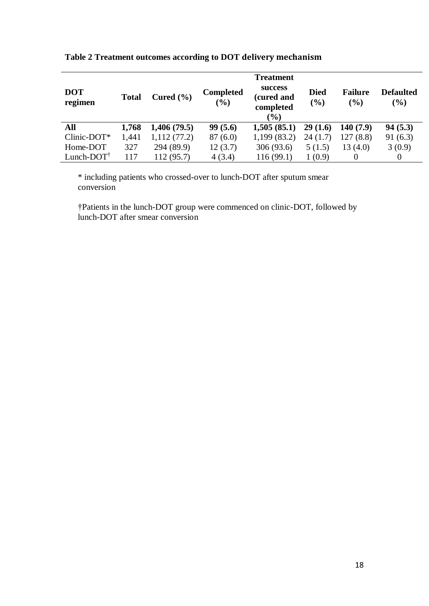| <b>DOT</b><br>regimen  | <b>Total</b> | Cured $(\% )$ | <b>Completed</b><br>(%) | <b>Treatment</b><br>success<br>(cured and<br>completed<br>$(\%)$ | <b>Died</b><br>(%) | <b>Failure</b><br>(%) | <b>Defaulted</b><br>(%) |
|------------------------|--------------|---------------|-------------------------|------------------------------------------------------------------|--------------------|-----------------------|-------------------------|
| All                    | 1,768        | 1,406(79.5)   | 99(5.6)                 | 1,505(85.1)                                                      | 29(1.6)            | 140(7.9)              | 94(5.3)                 |
| $Clinic$ -DOT*         | 1,441        | 1,112(77.2)   | 87(6.0)                 | 1,199 (83.2)                                                     | 24(1.7)            | 127(8.8)              | 91(6.3)                 |
| Home-DOT               | 327          | 294 (89.9)    | 12(3.7)                 | 306 (93.6)                                                       | 5(1.5)             | 13(4.0)               | 3(0.9)                  |
| Lunch-DOT $^{\dagger}$ | 117          | 112 (95.7)    | 4(3.4)                  | 116(99.1)                                                        | 1(0.9)             |                       | $\theta$                |

# **Table 2 Treatment outcomes according to DOT delivery mechanism**

\* including patients who crossed-over to lunch-DOT after sputum smear conversion

†Patients in the lunch-DOT group were commenced on clinic-DOT, followed by lunch-DOT after smear conversion